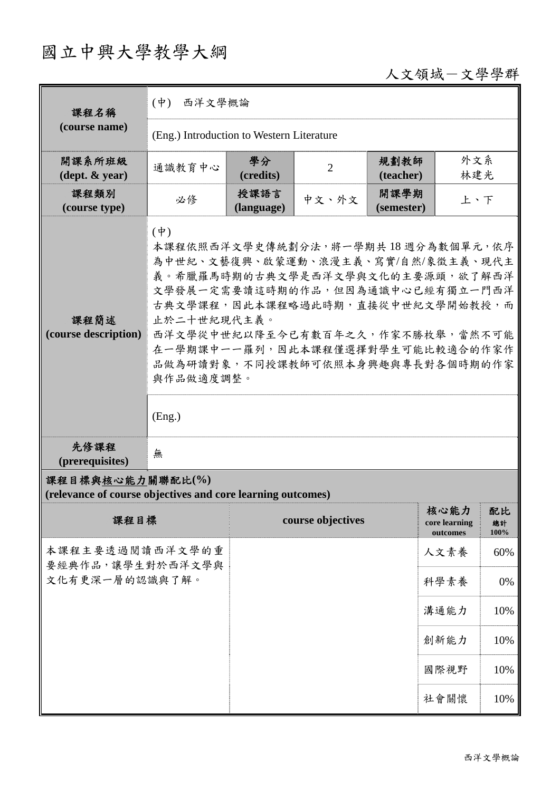# 國立中興大學教學大綱

# 人文領域-文學學群

| 課程名稱                                                                            | 西洋文學概論<br>$(\dot{\Psi})$                                                                                                                                                                                                                                                                                                                             |                    |                   |                    |                                   |                  |  |
|---------------------------------------------------------------------------------|------------------------------------------------------------------------------------------------------------------------------------------------------------------------------------------------------------------------------------------------------------------------------------------------------------------------------------------------------|--------------------|-------------------|--------------------|-----------------------------------|------------------|--|
| (course name)                                                                   | (Eng.) Introduction to Western Literature                                                                                                                                                                                                                                                                                                            |                    |                   |                    |                                   |                  |  |
| 開課系所班級<br>$(\text{dept.} \& \text{ year})$                                      | 通識教育中心                                                                                                                                                                                                                                                                                                                                               | 學分<br>(credits)    | $\overline{2}$    | 規劃教師<br>(teacher)  | 外文系<br>林建光                        |                  |  |
| 課程類別<br>(course type)                                                           | 必修                                                                                                                                                                                                                                                                                                                                                   | 授課語言<br>(language) | 中文、外文             | 開課學期<br>(semester) | 上、下                               |                  |  |
| 課程簡述<br>(course description)                                                    | $(\dagger)$<br>本課程依照西洋文學史傳統劃分法,將一學期共18週分為數個單元,依序<br>為中世紀、文藝復興、啟蒙運動、浪漫主義、寫實/自然/象徵主義、現代主<br>義。希臘羅馬時期的古典文學是西洋文學與文化的主要源頭,欲了解西洋<br>文學發展一定需要讀這時期的作品,但因為通識中心已經有獨立一門西洋<br>古典文學課程,因此本課程略過此時期,直接從中世紀文學開始教授,而<br>止於二十世紀現代主義。<br>西洋文學從中世紀以降至今已有數百年之久,作家不勝枚舉,當然不可能<br>在一學期課中一一羅列,因此本課程僅選擇對學生可能比較適合的作家作<br>品做為研讀對象,不同授課教師可依照本身興趣與專長對各個時期的作家<br>與作品做適度調整。<br>(Eng.) |                    |                   |                    |                                   |                  |  |
| 先修課程<br>(prerequisites)                                                         | 無                                                                                                                                                                                                                                                                                                                                                    |                    |                   |                    |                                   |                  |  |
| 課程目標與核心能力關聯配比(%)<br>(relevance of course objectives and core learning outcomes) |                                                                                                                                                                                                                                                                                                                                                      |                    |                   |                    |                                   |                  |  |
| 課程目標                                                                            |                                                                                                                                                                                                                                                                                                                                                      |                    | course objectives |                    | 核心能力<br>core learning<br>outcomes | 配比<br>總計<br>100% |  |
| 本課程主要透過閱讀西洋文學的重<br>要經典作品,讓學生對於西洋文學與<br>文化有更深一層的認識與了解。                           |                                                                                                                                                                                                                                                                                                                                                      |                    |                   |                    | 人文素養                              | 60%              |  |
|                                                                                 |                                                                                                                                                                                                                                                                                                                                                      |                    |                   |                    | 科學素養                              | 0%               |  |
|                                                                                 |                                                                                                                                                                                                                                                                                                                                                      |                    |                   |                    | 溝通能力                              | 10%              |  |
|                                                                                 |                                                                                                                                                                                                                                                                                                                                                      |                    |                   |                    | 創新能力                              | 10%              |  |
|                                                                                 |                                                                                                                                                                                                                                                                                                                                                      |                    |                   |                    | 國際視野                              | 10%              |  |
|                                                                                 |                                                                                                                                                                                                                                                                                                                                                      |                    |                   |                    | 社會關懷                              | 10%              |  |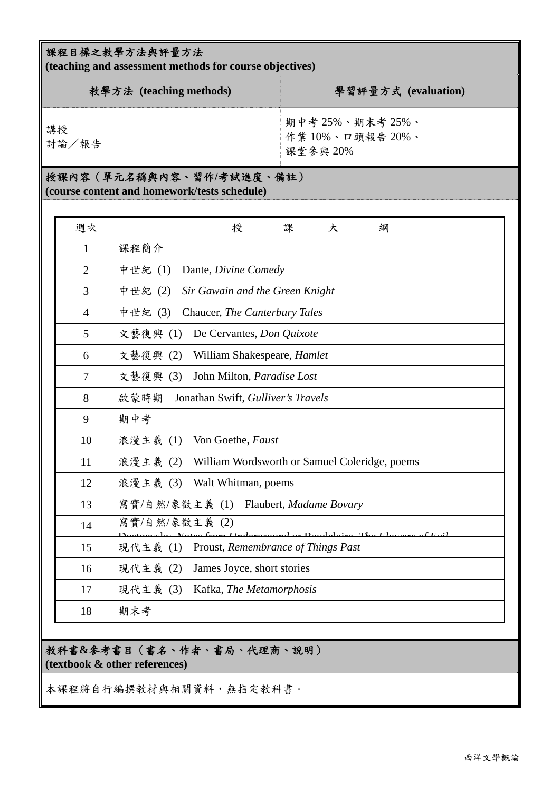#### 課程目標之教學方法與評量方法

**(teaching and assessment methods for course objectives)** 

| 教學方法 (teaching methods) | 學習評量方式 (evaluation)                            |
|-------------------------|------------------------------------------------|
| 講授<br>討論/報告             | 期中考 25%、期末考 25%、<br>作業10%、口頭報告20%、<br>課堂參與 20% |

## 授課內容(單元名稱與內容、習作**/**考試進度、備註)

**(course content and homework/tests schedule)** 

| 週次             | 授<br>課<br>大<br>綱                                       |
|----------------|--------------------------------------------------------|
| 1              | 課程簡介                                                   |
| $\overline{2}$ | 中世紀(1)<br>Dante, Divine Comedy                         |
| 3              | 中世紀 (2)<br>Sir Gawain and the Green Knight             |
| $\overline{4}$ | 中世紀(3)<br>Chaucer, The Canterbury Tales                |
| 5              | 文藝復興(1)<br>De Cervantes, Don Quixote                   |
| 6              | 文藝復興<br>(2) William Shakespeare, <i>Hamlet</i>         |
| 7              | 文藝復興 (3)<br>John Milton, Paradise Lost                 |
| 8              | 啟蒙時期<br>Jonathan Swift, Gulliver's Travels             |
| 9              | 期中考                                                    |
| 10             | 浪漫主義 (1)<br>Von Goethe, Faust                          |
| 11             | 浪漫主義 (2) William Wordsworth or Samuel Coleridge, poems |
| 12             | 浪漫主義 (3)<br>Walt Whitman, poems                        |
| 13             | 寫實/自然/象徵主義 (1) Flaubert, Madame Bovary                 |
| 14             | 寫實/自然/象徵主義(2)                                          |
| 15             | 現代主義 (1) Proust, Remembrance of Things Past            |
| 16             | 現代主義 (2)<br>James Joyce, short stories                 |
| 17             | 現代主義 (3) Kafka, The Metamorphosis                      |
| 18             | 期末考                                                    |

### 教科書**&**參考書目(書名、作者、書局、代理商、說明) **(textbook & other references)**

本課程將自行編撰教材與相關資料,無指定教科書。